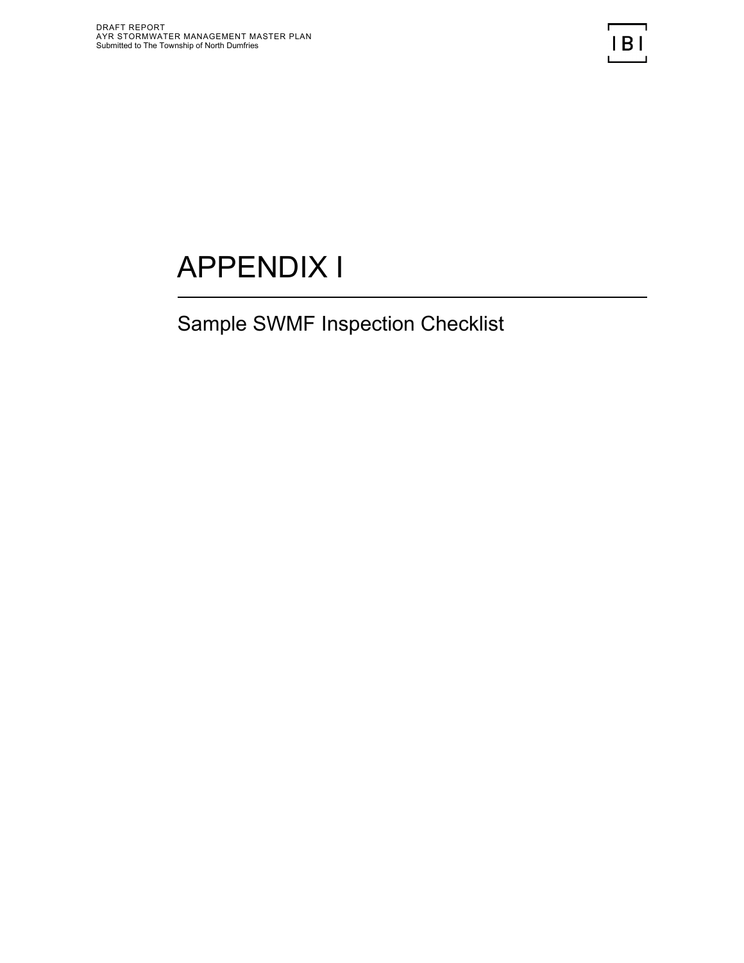# APPENDIX I

## Sample SWMF Inspection Checklist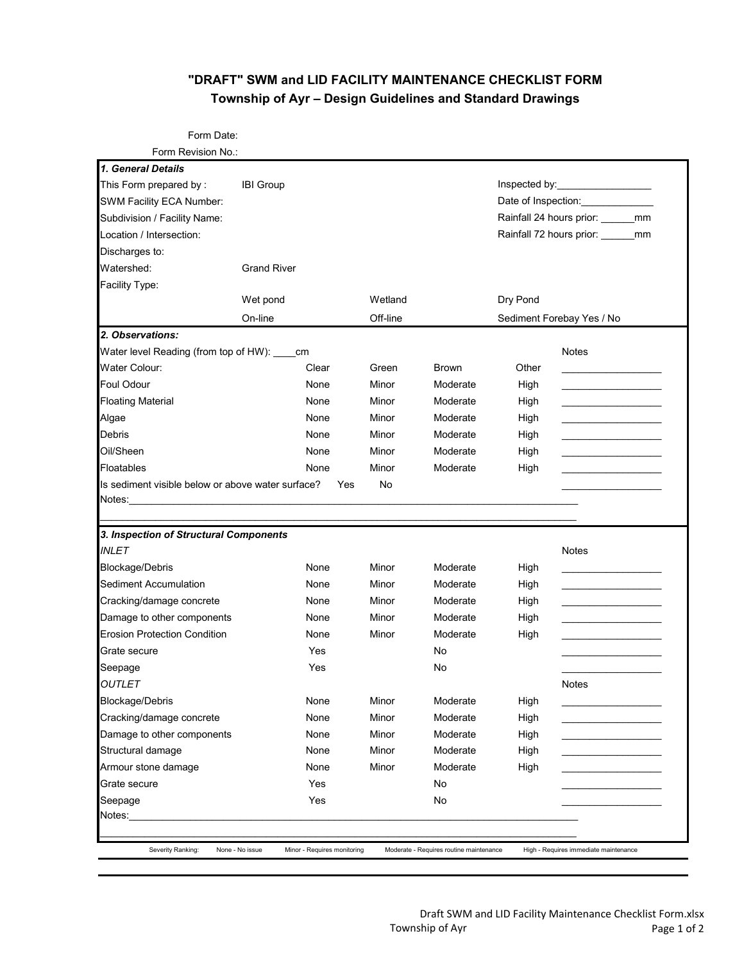#### **"DRAFT" SWM and LID FACILITY MAINTENANCE CHECKLIST FORM Township of Ayr – Design Guidelines and Standard Drawings**

Form Date:

| 1. General Details                                                                                                                                                                                                                                                                                    |                     |       |         |              |                                         |                                                                                                                       |  |  |
|-------------------------------------------------------------------------------------------------------------------------------------------------------------------------------------------------------------------------------------------------------------------------------------------------------|---------------------|-------|---------|--------------|-----------------------------------------|-----------------------------------------------------------------------------------------------------------------------|--|--|
| This Form prepared by:                                                                                                                                                                                                                                                                                | <b>IBI Group</b>    |       |         |              |                                         |                                                                                                                       |  |  |
| SWM Facility ECA Number:                                                                                                                                                                                                                                                                              |                     |       |         |              | Date of Inspection: Date of Inspection: |                                                                                                                       |  |  |
| Subdivision / Facility Name:                                                                                                                                                                                                                                                                          |                     |       |         |              | Rainfall 24 hours prior: _______mm      |                                                                                                                       |  |  |
| Location / Intersection:                                                                                                                                                                                                                                                                              |                     |       |         |              |                                         | Rainfall 72 hours prior: _______ mm                                                                                   |  |  |
| Discharges to:                                                                                                                                                                                                                                                                                        |                     |       |         |              |                                         |                                                                                                                       |  |  |
| Watershed:                                                                                                                                                                                                                                                                                            | <b>Grand River</b>  |       |         |              |                                         |                                                                                                                       |  |  |
| Facility Type:                                                                                                                                                                                                                                                                                        |                     |       |         |              |                                         |                                                                                                                       |  |  |
|                                                                                                                                                                                                                                                                                                       | Wet pond<br>On-line |       | Wetland | Off-line     |                                         | Dry Pond<br>Sediment Forebay Yes / No                                                                                 |  |  |
|                                                                                                                                                                                                                                                                                                       |                     |       |         |              |                                         |                                                                                                                       |  |  |
| 2. Observations:                                                                                                                                                                                                                                                                                      |                     |       |         |              |                                         |                                                                                                                       |  |  |
| Water level Reading (from top of HW): ____                                                                                                                                                                                                                                                            |                     | cm    |         |              |                                         | <b>Notes</b>                                                                                                          |  |  |
| Water Colour:                                                                                                                                                                                                                                                                                         |                     | Clear | Green   | <b>Brown</b> | Other                                   |                                                                                                                       |  |  |
| <b>Foul Odour</b>                                                                                                                                                                                                                                                                                     |                     | None  | Minor   | Moderate     | High                                    | <u> 1980 - Jan Barnett, fransk politik (</u>                                                                          |  |  |
| <b>Floating Material</b>                                                                                                                                                                                                                                                                              |                     | None  | Minor   | Moderate     | High                                    | <u> 1980 - Andrea Station Andrea Station Andrea Sta</u>                                                               |  |  |
| Algae                                                                                                                                                                                                                                                                                                 |                     | None  | Minor   | Moderate     | High                                    |                                                                                                                       |  |  |
| Debris                                                                                                                                                                                                                                                                                                |                     | None  | Minor   | Moderate     | High                                    | <u> 1980 - Andrea Station Andrea Station and Station Andrea Station and Station Andrea Station and Station Andrea</u> |  |  |
| Oil/Sheen                                                                                                                                                                                                                                                                                             |                     | None  | Minor   | Moderate     | High                                    | the control of the control of the control of the control of the control of                                            |  |  |
|                                                                                                                                                                                                                                                                                                       |                     |       |         |              |                                         |                                                                                                                       |  |  |
|                                                                                                                                                                                                                                                                                                       |                     | None  | Minor   | Moderate     | High                                    |                                                                                                                       |  |  |
| Floatables<br>Is sediment visible below or above water surface?                                                                                                                                                                                                                                       |                     | Yes   | No      |              |                                         |                                                                                                                       |  |  |
| Notes:                                                                                                                                                                                                                                                                                                |                     |       |         |              |                                         |                                                                                                                       |  |  |
|                                                                                                                                                                                                                                                                                                       |                     |       |         |              |                                         |                                                                                                                       |  |  |
|                                                                                                                                                                                                                                                                                                       |                     |       |         |              |                                         |                                                                                                                       |  |  |
|                                                                                                                                                                                                                                                                                                       |                     |       |         |              |                                         | <b>Notes</b>                                                                                                          |  |  |
|                                                                                                                                                                                                                                                                                                       |                     | None  | Minor   | Moderate     | High                                    |                                                                                                                       |  |  |
|                                                                                                                                                                                                                                                                                                       |                     | None  | Minor   | Moderate     | High                                    |                                                                                                                       |  |  |
|                                                                                                                                                                                                                                                                                                       |                     | None  | Minor   | Moderate     | High                                    |                                                                                                                       |  |  |
|                                                                                                                                                                                                                                                                                                       |                     | None  | Minor   | Moderate     | High                                    |                                                                                                                       |  |  |
|                                                                                                                                                                                                                                                                                                       |                     | None  | Minor   | Moderate     | High                                    |                                                                                                                       |  |  |
|                                                                                                                                                                                                                                                                                                       |                     | Yes   |         | No           |                                         |                                                                                                                       |  |  |
|                                                                                                                                                                                                                                                                                                       |                     | Yes   |         | No           |                                         |                                                                                                                       |  |  |
|                                                                                                                                                                                                                                                                                                       |                     |       |         |              |                                         | <b>Notes</b>                                                                                                          |  |  |
|                                                                                                                                                                                                                                                                                                       |                     | None  | Minor   | Moderate     | High                                    |                                                                                                                       |  |  |
| 3. Inspection of Structural Components<br><b>INLET</b><br><b>Blockage/Debris</b><br>Sediment Accumulation<br>Cracking/damage concrete<br>Damage to other components<br><b>Erosion Protection Condition</b><br>Grate secure<br>Seepage<br><b>OUTLET</b><br>Blockage/Debris<br>Cracking/damage concrete |                     | None  | Minor   | Moderate     | High                                    |                                                                                                                       |  |  |
|                                                                                                                                                                                                                                                                                                       |                     | None  | Minor   | Moderate     | High                                    |                                                                                                                       |  |  |
|                                                                                                                                                                                                                                                                                                       |                     | None  | Minor   | Moderate     | High                                    |                                                                                                                       |  |  |
|                                                                                                                                                                                                                                                                                                       |                     | None  | Minor   | Moderate     | High                                    |                                                                                                                       |  |  |
| Damage to other components<br>Structural damage<br>Armour stone damage<br>Grate secure                                                                                                                                                                                                                |                     | Yes   |         | No           |                                         |                                                                                                                       |  |  |
| Seepage                                                                                                                                                                                                                                                                                               |                     | Yes   |         | No           |                                         |                                                                                                                       |  |  |